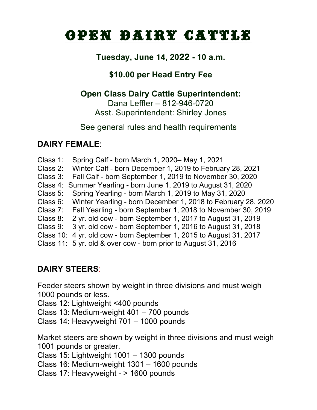# OPEN DAIRY CATTLE

### **Tuesday, June** 14**, 20**22 **- 10 a.m.**

## **\$10.00 per Head Entry Fee**

#### **Open Class Dairy Cattle Superintendent:**

Dana Leffler – 812-946-0720 Asst. Superintendent: Shirley Jones

#### See general rules and health requirements

### **DAIRY FEMALE**:

Class 1: Spring Calf - born March 1, 2020– May 1, 2021 Class 2: Winter Calf - born December 1, 2019 to February 28, 2021 Class 3: Fall Calf - born September 1, 2019 to November 30, 2020 Class 4: Summer Yearling - born June 1, 2019 to August 31, 2020 Class 5: Spring Yearling - born March 1, 2019 to May 31, 2020 Class 6: Winter Yearling - born December 1, 2018 to February 28, 2020 Class 7: Fall Yearling - born September 1, 2018 to November 30, 2019 Class 8: 2 yr. old cow - born September 1, 2017 to August 31, 2019 Class 9: 3 yr. old cow - born September 1, 2016 to August 31, 2018 Class 10: 4 yr. old cow - born September 1, 2015 to August 31, 2017 Class 11: 5 yr. old & over cow - born prior to August 31, 2016

# **DAIRY STEERS**:

Feeder steers shown by weight in three divisions and must weigh 1000 pounds or less.

Class 12: Lightweight <400 pounds

Class 13: Medium-weight 401 – 700 pounds

Class 14: Heavyweight 701 – 1000 pounds

Market steers are shown by weight in three divisions and must weigh 1001 pounds or greater.

Class 15: Lightweight 1001 – 1300 pounds

Class 16: Medium-weight 1301 – 1600 pounds

Class 17: Heavyweight - > 1600 pounds